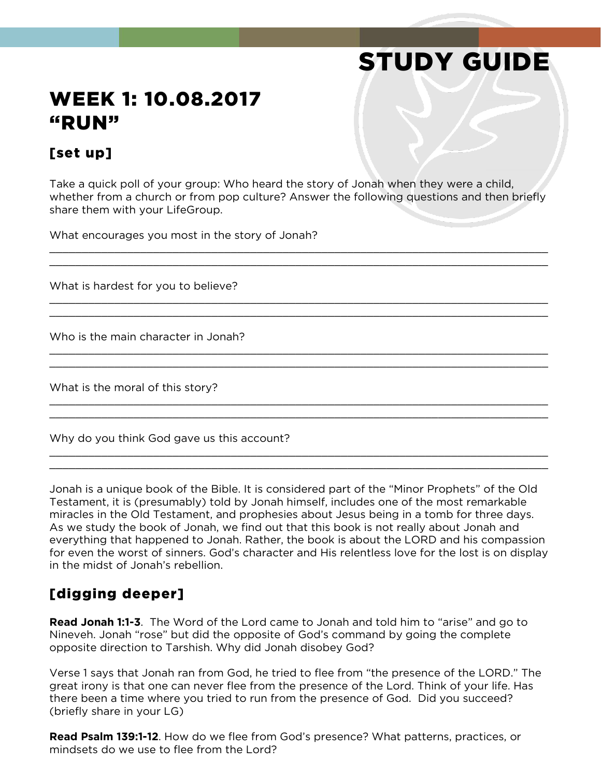# STUDY GUIDE

# WEEK 1: 10.08.2017 "RUN"

## [set up]

Take a quick poll of your group: Who heard the story of Jonah when they were a child, whether from a church or from pop culture? Answer the following questions and then briefly share them with your LifeGroup.

\_\_\_\_\_\_\_\_\_\_\_\_\_\_\_\_\_\_\_\_\_\_\_\_\_\_\_\_\_\_\_\_\_\_\_\_\_\_\_\_\_\_\_\_\_\_\_\_\_\_\_\_\_\_\_\_\_\_\_\_\_\_\_\_\_\_\_\_\_\_\_\_\_\_\_\_\_  $\_$  , and the contribution of the contribution of the contribution of the contribution of  $\mathcal{L}_\mathcal{A}$ 

\_\_\_\_\_\_\_\_\_\_\_\_\_\_\_\_\_\_\_\_\_\_\_\_\_\_\_\_\_\_\_\_\_\_\_\_\_\_\_\_\_\_\_\_\_\_\_\_\_\_\_\_\_\_\_\_\_\_\_\_\_\_\_\_\_\_\_\_\_\_\_\_\_\_\_\_\_ \_\_\_\_\_\_\_\_\_\_\_\_\_\_\_\_\_\_\_\_\_\_\_\_\_\_\_\_\_\_\_\_\_\_\_\_\_\_\_\_\_\_\_\_\_\_\_\_\_\_\_\_\_\_\_\_\_\_\_\_\_\_\_\_\_\_\_\_\_\_\_\_\_\_\_\_\_

\_\_\_\_\_\_\_\_\_\_\_\_\_\_\_\_\_\_\_\_\_\_\_\_\_\_\_\_\_\_\_\_\_\_\_\_\_\_\_\_\_\_\_\_\_\_\_\_\_\_\_\_\_\_\_\_\_\_\_\_\_\_\_\_\_\_\_\_\_\_\_\_\_\_\_\_\_  $\_$  , and the contribution of the contribution of the contribution of the contribution of the contribution of  $\mathcal{L}_\text{max}$ 

\_\_\_\_\_\_\_\_\_\_\_\_\_\_\_\_\_\_\_\_\_\_\_\_\_\_\_\_\_\_\_\_\_\_\_\_\_\_\_\_\_\_\_\_\_\_\_\_\_\_\_\_\_\_\_\_\_\_\_\_\_\_\_\_\_\_\_\_\_\_\_\_\_\_\_\_\_  $\_$  , and the contribution of the contribution of the contribution of the contribution of the contribution of  $\mathcal{L}_\text{max}$ 

\_\_\_\_\_\_\_\_\_\_\_\_\_\_\_\_\_\_\_\_\_\_\_\_\_\_\_\_\_\_\_\_\_\_\_\_\_\_\_\_\_\_\_\_\_\_\_\_\_\_\_\_\_\_\_\_\_\_\_\_\_\_\_\_\_\_\_\_\_\_\_\_\_\_\_\_\_ \_\_\_\_\_\_\_\_\_\_\_\_\_\_\_\_\_\_\_\_\_\_\_\_\_\_\_\_\_\_\_\_\_\_\_\_\_\_\_\_\_\_\_\_\_\_\_\_\_\_\_\_\_\_\_\_\_\_\_\_\_\_\_\_\_\_\_\_\_\_\_\_\_\_\_\_\_

What encourages you most in the story of Jonah?

What is hardest for you to believe?

Who is the main character in Jonah?

What is the moral of this story?

Why do you think God gave us this account?

Jonah is a unique book of the Bible. It is considered part of the "Minor Prophets" of the Old Testament, it is (presumably) told by Jonah himself, includes one of the most remarkable miracles in the Old Testament, and prophesies about Jesus being in a tomb for three days. As we study the book of Jonah, we find out that this book is not really about Jonah and everything that happened to Jonah. Rather, the book is about the LORD and his compassion for even the worst of sinners. God's character and His relentless love for the lost is on display in the midst of Jonah's rebellion.

### [digging deeper]

**Read Jonah 1:1-3**. The Word of the Lord came to Jonah and told him to "arise" and go to Nineveh. Jonah "rose" but did the opposite of God's command by going the complete opposite direction to Tarshish. Why did Jonah disobey God?

Verse 1 says that Jonah ran from God, he tried to flee from "the presence of the LORD." The great irony is that one can never flee from the presence of the Lord. Think of your life. Has there been a time where you tried to run from the presence of God. Did you succeed? (briefly share in your LG)

**Read Psalm 139:1-12**. How do we flee from God's presence? What patterns, practices, or mindsets do we use to flee from the Lord?